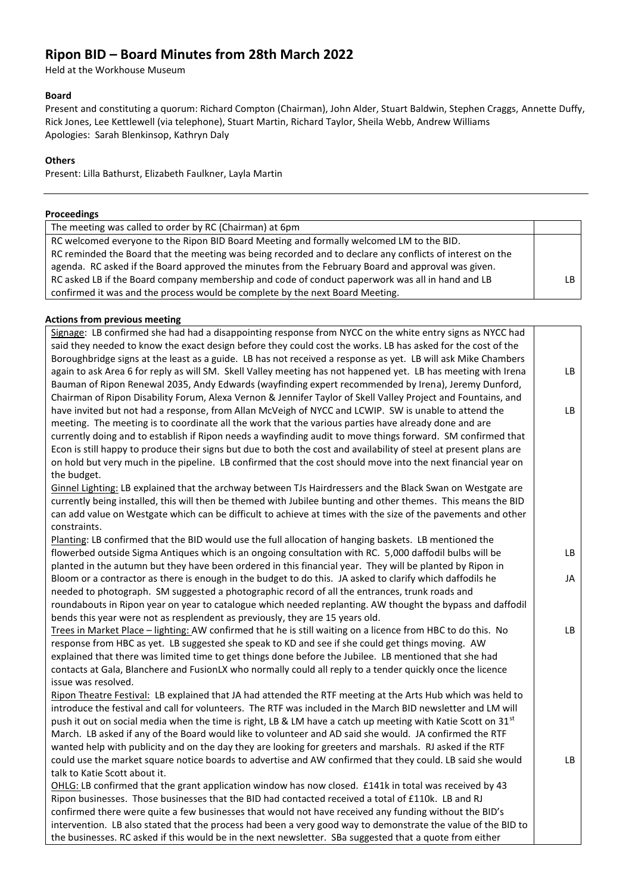# **Ripon BID – Board Minutes from 28th March 2022**

Held at the Workhouse Museum

#### **Board**

Present and constituting a quorum: Richard Compton (Chairman), John Alder, Stuart Baldwin, Stephen Craggs, Annette Duffy, Rick Jones, Lee Kettlewell (via telephone), Stuart Martin, Richard Taylor, Sheila Webb, Andrew Williams Apologies: Sarah Blenkinsop, Kathryn Daly

#### **Others**

Present: Lilla Bathurst, Elizabeth Faulkner, Layla Martin

| Proceedings                                                                                                  |     |
|--------------------------------------------------------------------------------------------------------------|-----|
| The meeting was called to order by RC (Chairman) at 6pm                                                      |     |
| RC welcomed everyone to the Ripon BID Board Meeting and formally welcomed LM to the BID.                     |     |
| RC reminded the Board that the meeting was being recorded and to declare any conflicts of interest on the    |     |
| agenda. RC asked if the Board approved the minutes from the February Board and approval was given.           |     |
| RC asked LB if the Board company membership and code of conduct paperwork was all in hand and LB             | LB. |
| confirmed it was and the process would be complete by the next Board Meeting.                                |     |
|                                                                                                              |     |
| <b>Actions from previous meeting</b>                                                                         |     |
| Signage: LB confirmed she had had a disappointing response from NYCC on the white entry signs as NYCC had    |     |
| said they needed to know the exact design before they could cost the works. LB has asked for the cost of the |     |

| <u>signage</u> . Le commune sinc maa maa a alsappoment <sub>o</sub> response mommu es on encrement y signs as in comac<br>said they needed to know the exact design before they could cost the works. LB has asked for the cost of the |    |
|----------------------------------------------------------------------------------------------------------------------------------------------------------------------------------------------------------------------------------------|----|
| Boroughbridge signs at the least as a guide. LB has not received a response as yet. LB will ask Mike Chambers                                                                                                                          |    |
| again to ask Area 6 for reply as will SM. Skell Valley meeting has not happened yet. LB has meeting with Irena                                                                                                                         | LB |
| Bauman of Ripon Renewal 2035, Andy Edwards (wayfinding expert recommended by Irena), Jeremy Dunford,                                                                                                                                   |    |
| Chairman of Ripon Disability Forum, Alexa Vernon & Jennifer Taylor of Skell Valley Project and Fountains, and                                                                                                                          |    |
| have invited but not had a response, from Allan McVeigh of NYCC and LCWIP. SW is unable to attend the                                                                                                                                  | LB |
| meeting. The meeting is to coordinate all the work that the various parties have already done and are                                                                                                                                  |    |
| currently doing and to establish if Ripon needs a wayfinding audit to move things forward. SM confirmed that                                                                                                                           |    |
| Econ is still happy to produce their signs but due to both the cost and availability of steel at present plans are                                                                                                                     |    |
| on hold but very much in the pipeline. LB confirmed that the cost should move into the next financial year on                                                                                                                          |    |
| the budget.                                                                                                                                                                                                                            |    |
| Ginnel Lighting: LB explained that the archway between TJs Hairdressers and the Black Swan on Westgate are                                                                                                                             |    |
|                                                                                                                                                                                                                                        |    |
| currently being installed, this will then be themed with Jubilee bunting and other themes. This means the BID                                                                                                                          |    |
| can add value on Westgate which can be difficult to achieve at times with the size of the pavements and other                                                                                                                          |    |
| constraints.                                                                                                                                                                                                                           |    |
| Planting: LB confirmed that the BID would use the full allocation of hanging baskets. LB mentioned the                                                                                                                                 | LB |
| flowerbed outside Sigma Antiques which is an ongoing consultation with RC. 5,000 daffodil bulbs will be                                                                                                                                |    |
| planted in the autumn but they have been ordered in this financial year. They will be planted by Ripon in                                                                                                                              |    |
| Bloom or a contractor as there is enough in the budget to do this. JA asked to clarify which daffodils he                                                                                                                              | JA |
| needed to photograph. SM suggested a photographic record of all the entrances, trunk roads and                                                                                                                                         |    |
| roundabouts in Ripon year on year to catalogue which needed replanting. AW thought the bypass and daffodil                                                                                                                             |    |
| bends this year were not as resplendent as previously, they are 15 years old.                                                                                                                                                          |    |
| Trees in Market Place - lighting: AW confirmed that he is still waiting on a licence from HBC to do this. No                                                                                                                           | LB |
| response from HBC as yet. LB suggested she speak to KD and see if she could get things moving. AW                                                                                                                                      |    |
| explained that there was limited time to get things done before the Jubilee. LB mentioned that she had                                                                                                                                 |    |
| contacts at Gala, Blanchere and FusionLX who normally could all reply to a tender quickly once the licence                                                                                                                             |    |
| issue was resolved.                                                                                                                                                                                                                    |    |
| Ripon Theatre Festival: LB explained that JA had attended the RTF meeting at the Arts Hub which was held to                                                                                                                            |    |
| introduce the festival and call for volunteers. The RTF was included in the March BID newsletter and LM will                                                                                                                           |    |
| push it out on social media when the time is right, LB & LM have a catch up meeting with Katie Scott on 31st                                                                                                                           |    |
| March. LB asked if any of the Board would like to volunteer and AD said she would. JA confirmed the RTF                                                                                                                                |    |
| wanted help with publicity and on the day they are looking for greeters and marshals. RJ asked if the RTF                                                                                                                              |    |
| could use the market square notice boards to advertise and AW confirmed that they could. LB said she would                                                                                                                             | LB |
| talk to Katie Scott about it.                                                                                                                                                                                                          |    |
| OHLG: LB confirmed that the grant application window has now closed. £141k in total was received by 43                                                                                                                                 |    |
| Ripon businesses. Those businesses that the BID had contacted received a total of £110k. LB and RJ                                                                                                                                     |    |
| confirmed there were quite a few businesses that would not have received any funding without the BID's                                                                                                                                 |    |
| intervention. LB also stated that the process had been a very good way to demonstrate the value of the BID to                                                                                                                          |    |
| the businesses. RC asked if this would be in the next newsletter. SBa suggested that a quote from either                                                                                                                               |    |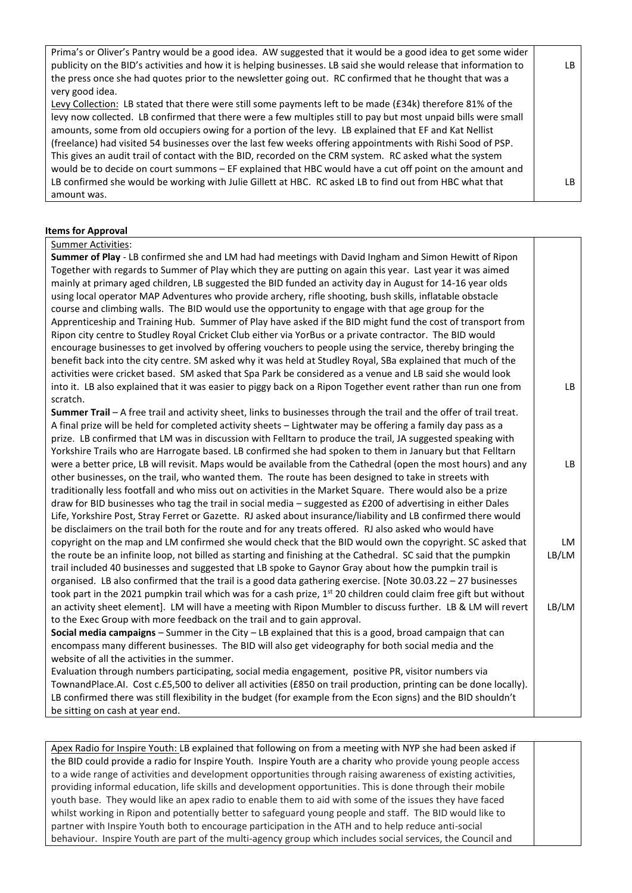| Prima's or Oliver's Pantry would be a good idea. AW suggested that it would be a good idea to get some wider      |     |
|-------------------------------------------------------------------------------------------------------------------|-----|
| publicity on the BID's activities and how it is helping businesses. LB said she would release that information to | LB. |
| the press once she had quotes prior to the newsletter going out. RC confirmed that he thought that was a          |     |
| very good idea.                                                                                                   |     |
| Levy Collection: LB stated that there were still some payments left to be made (£34k) therefore 81% of the        |     |
| levy now collected. LB confirmed that there were a few multiples still to pay but most unpaid bills were small    |     |
| amounts, some from old occupiers owing for a portion of the levy. LB explained that EF and Kat Nellist            |     |
| (freelance) had visited 54 businesses over the last few weeks offering appointments with Rishi Sood of PSP.       |     |
| This gives an audit trail of contact with the BID, recorded on the CRM system. RC asked what the system           |     |
| would be to decide on court summons - EF explained that HBC would have a cut off point on the amount and          |     |
| LB confirmed she would be working with Julie Gillett at HBC. RC asked LB to find out from HBC what that           | IB. |
| amount was.                                                                                                       |     |

## **Items for Approval**

#### Summer Activities:

| Summer of Play - LB confirmed she and LM had had meetings with David Ingham and Simon Hewitt of Ripon                                                                                                                   |       |
|-------------------------------------------------------------------------------------------------------------------------------------------------------------------------------------------------------------------------|-------|
| Together with regards to Summer of Play which they are putting on again this year. Last year it was aimed<br>mainly at primary aged children, LB suggested the BID funded an activity day in August for 14-16 year olds |       |
| using local operator MAP Adventures who provide archery, rifle shooting, bush skills, inflatable obstacle                                                                                                               |       |
| course and climbing walls. The BID would use the opportunity to engage with that age group for the                                                                                                                      |       |
| Apprenticeship and Training Hub. Summer of Play have asked if the BID might fund the cost of transport from                                                                                                             |       |
| Ripon city centre to Studley Royal Cricket Club either via YorBus or a private contractor. The BID would                                                                                                                |       |
| encourage businesses to get involved by offering vouchers to people using the service, thereby bringing the                                                                                                             |       |
| benefit back into the city centre. SM asked why it was held at Studley Royal, SBa explained that much of the                                                                                                            |       |
| activities were cricket based. SM asked that Spa Park be considered as a venue and LB said she would look                                                                                                               |       |
| into it. LB also explained that it was easier to piggy back on a Ripon Together event rather than run one from                                                                                                          | LB    |
| scratch.                                                                                                                                                                                                                |       |
| Summer Trail - A free trail and activity sheet, links to businesses through the trail and the offer of trail treat.                                                                                                     |       |
| A final prize will be held for completed activity sheets - Lightwater may be offering a family day pass as a                                                                                                            |       |
| prize. LB confirmed that LM was in discussion with Felltarn to produce the trail, JA suggested speaking with                                                                                                            |       |
| Yorkshire Trails who are Harrogate based. LB confirmed she had spoken to them in January but that Felltarn                                                                                                              |       |
| were a better price, LB will revisit. Maps would be available from the Cathedral (open the most hours) and any                                                                                                          | LB    |
| other businesses, on the trail, who wanted them. The route has been designed to take in streets with                                                                                                                    |       |
| traditionally less footfall and who miss out on activities in the Market Square. There would also be a prize                                                                                                            |       |
| draw for BID businesses who tag the trail in social media - suggested as £200 of advertising in either Dales                                                                                                            |       |
| Life, Yorkshire Post, Stray Ferret or Gazette. RJ asked about insurance/liability and LB confirmed there would                                                                                                          |       |
| be disclaimers on the trail both for the route and for any treats offered. RJ also asked who would have                                                                                                                 |       |
| copyright on the map and LM confirmed she would check that the BID would own the copyright. SC asked that                                                                                                               | LM    |
| the route be an infinite loop, not billed as starting and finishing at the Cathedral. SC said that the pumpkin                                                                                                          | LB/LM |
| trail included 40 businesses and suggested that LB spoke to Gaynor Gray about how the pumpkin trail is                                                                                                                  |       |
| organised. LB also confirmed that the trail is a good data gathering exercise. [Note 30.03.22 - 27 businesses                                                                                                           |       |
| took part in the 2021 pumpkin trail which was for a cash prize, 1 <sup>st</sup> 20 children could claim free gift but without                                                                                           |       |
| an activity sheet element]. LM will have a meeting with Ripon Mumbler to discuss further. LB & LM will revert                                                                                                           | LB/LM |
| to the Exec Group with more feedback on the trail and to gain approval.                                                                                                                                                 |       |
| Social media campaigns - Summer in the City - LB explained that this is a good, broad campaign that can                                                                                                                 |       |
| encompass many different businesses. The BID will also get videography for both social media and the                                                                                                                    |       |
| website of all the activities in the summer.                                                                                                                                                                            |       |
| Evaluation through numbers participating, social media engagement, positive PR, visitor numbers via                                                                                                                     |       |
| TownandPlace.AI. Cost c.£5,500 to deliver all activities (£850 on trail production, printing can be done locally).                                                                                                      |       |
| LB confirmed there was still flexibility in the budget (for example from the Econ signs) and the BID shouldn't                                                                                                          |       |

be sitting on cash at year end.

Apex Radio for Inspire Youth: LB explained that following on from a meeting with NYP she had been asked if the BID could provide a radio for Inspire Youth. Inspire Youth are a charity who provide young people access to a wide range of activities and development opportunities through raising awareness of existing activities, providing informal education, life skills and development opportunities. This is done through their mobile youth base. They would like an apex radio to enable them to aid with some of the issues they have faced whilst working in Ripon and potentially better to safeguard young people and staff. The BID would like to partner with Inspire Youth both to encourage participation in the ATH and to help reduce anti-social behaviour. Inspire Youth are part of the multi-agency group which includes social services, the Council and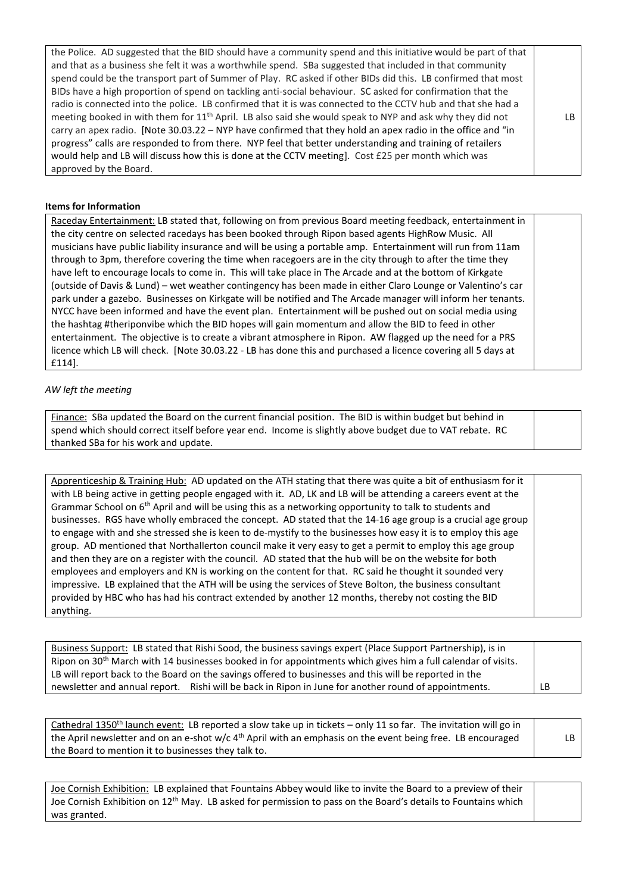| the Police. AD suggested that the BID should have a community spend and this initiative would be part of that        |     |
|----------------------------------------------------------------------------------------------------------------------|-----|
| and that as a business she felt it was a worthwhile spend. SBa suggested that included in that community             |     |
| spend could be the transport part of Summer of Play. RC asked if other BIDs did this. LB confirmed that most         |     |
| BIDs have a high proportion of spend on tackling anti-social behaviour. SC asked for confirmation that the           |     |
| radio is connected into the police. LB confirmed that it is was connected to the CCTV hub and that she had a         |     |
| meeting booked in with them for 11 <sup>th</sup> April. LB also said she would speak to NYP and ask why they did not | LB. |
| carry an apex radio. [Note 30.03.22 – NYP have confirmed that they hold an apex radio in the office and "in          |     |
| progress" calls are responded to from there. NYP feel that better understanding and training of retailers            |     |
| would help and LB will discuss how this is done at the CCTV meeting]. Cost £25 per month which was                   |     |
| approved by the Board.                                                                                               |     |

## **Items for Information**

Raceday Entertainment: LB stated that, following on from previous Board meeting feedback, entertainment in the city centre on selected racedays has been booked through Ripon based agents HighRow Music. All musicians have public liability insurance and will be using a portable amp. Entertainment will run from 11am through to 3pm, therefore covering the time when racegoers are in the city through to after the time they have left to encourage locals to come in. This will take place in The Arcade and at the bottom of Kirkgate (outside of Davis & Lund) – wet weather contingency has been made in either Claro Lounge or Valentino's car park under a gazebo. Businesses on Kirkgate will be notified and The Arcade manager will inform her tenants. NYCC have been informed and have the event plan. Entertainment will be pushed out on social media using the hashtag #theriponvibe which the BID hopes will gain momentum and allow the BID to feed in other entertainment. The objective is to create a vibrant atmosphere in Ripon. AW flagged up the need for a PRS licence which LB will check. [Note 30.03.22 - LB has done this and purchased a licence covering all 5 days at £114].

## *AW left the meeting*

Finance: SBa updated the Board on the current financial position. The BID is within budget but behind in spend which should correct itself before year end. Income is slightly above budget due to VAT rebate. RC thanked SBa for his work and update.

Apprenticeship & Training Hub: AD updated on the ATH stating that there was quite a bit of enthusiasm for it with LB being active in getting people engaged with it. AD, LK and LB will be attending a careers event at the Grammar School on  $6<sup>th</sup>$  April and will be using this as a networking opportunity to talk to students and businesses. RGS have wholly embraced the concept. AD stated that the 14-16 age group is a crucial age group to engage with and she stressed she is keen to de-mystify to the businesses how easy it is to employ this age group. AD mentioned that Northallerton council make it very easy to get a permit to employ this age group and then they are on a register with the council. AD stated that the hub will be on the website for both employees and employers and KN is working on the content for that. RC said he thought it sounded very impressive. LB explained that the ATH will be using the services of Steve Bolton, the business consultant provided by HBC who has had his contract extended by another 12 months, thereby not costing the BID anything.

| Business Support: LB stated that Rishi Sood, the business savings expert (Place Support Partnership), is in              |    |
|--------------------------------------------------------------------------------------------------------------------------|----|
| Ripon on 30 <sup>th</sup> March with 14 businesses booked in for appointments which gives him a full calendar of visits. |    |
| LB will report back to the Board on the savings offered to businesses and this will be reported in the                   |    |
| newsletter and annual report. Rishi will be back in Ripon in June for another round of appointments.                     | LB |

| Cathedral 1350 <sup>th</sup> launch event: LB reported a slow take up in tickets - only 11 so far. The invitation will go in |    |
|------------------------------------------------------------------------------------------------------------------------------|----|
| the April newsletter and on an e-shot w/c 4 <sup>th</sup> April with an emphasis on the event being free. LB encouraged      | LB |
| the Board to mention it to businesses they talk to.                                                                          |    |

| Joe Cornish Exhibition: LB explained that Fountains Abbey would like to invite the Board to a preview of their            |  |
|---------------------------------------------------------------------------------------------------------------------------|--|
| Joe Cornish Exhibition on 12 <sup>th</sup> May. LB asked for permission to pass on the Board's details to Fountains which |  |
| was granted.                                                                                                              |  |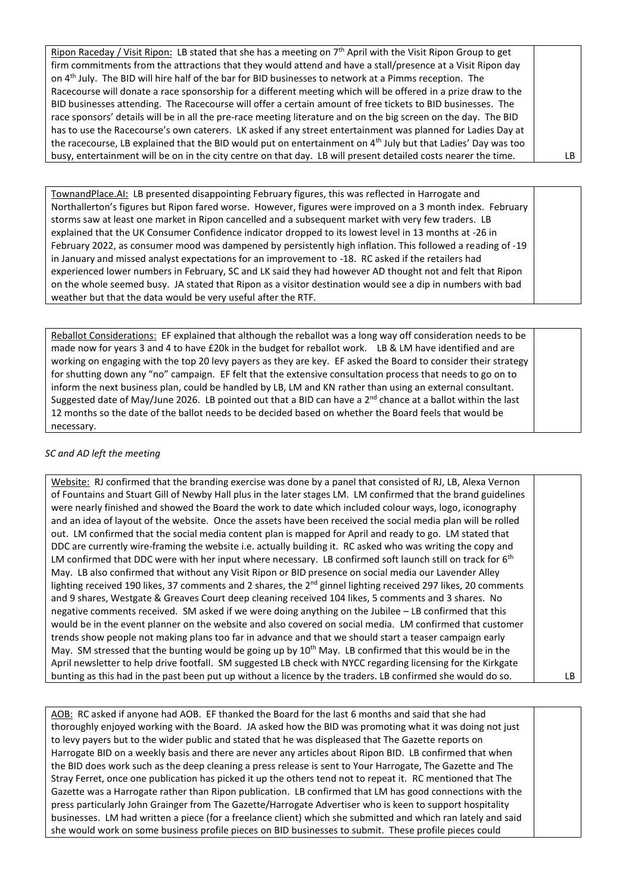Ripon Raceday / Visit Ripon: LB stated that she has a meeting on 7<sup>th</sup> April with the Visit Ripon Group to get firm commitments from the attractions that they would attend and have a stall/presence at a Visit Ripon day on 4th July. The BID will hire half of the bar for BID businesses to network at a Pimms reception. The Racecourse will donate a race sponsorship for a different meeting which will be offered in a prize draw to the BID businesses attending. The Racecourse will offer a certain amount of free tickets to BID businesses. The race sponsors' details will be in all the pre-race meeting literature and on the big screen on the day. The BID has to use the Racecourse's own caterers. LK asked if any street entertainment was planned for Ladies Day at the racecourse, LB explained that the BID would put on entertainment on 4<sup>th</sup> July but that Ladies' Day was too busy, entertainment will be on in the city centre on that day. LB will present detailed costs nearer the time.  $\vert$  LB

TownandPlace.AI: LB presented disappointing February figures, this was reflected in Harrogate and Northallerton's figures but Ripon fared worse. However, figures were improved on a 3 month index. February storms saw at least one market in Ripon cancelled and a subsequent market with very few traders. LB explained that the UK Consumer Confidence indicator dropped to its lowest level in 13 months at -26 in February 2022, as consumer mood was dampened by persistently high inflation. This followed a reading of -19 in January and missed analyst expectations for an improvement to -18. RC asked if the retailers had experienced lower numbers in February, SC and LK said they had however AD thought not and felt that Ripon on the whole seemed busy. JA stated that Ripon as a visitor destination would see a dip in numbers with bad weather but that the data would be very useful after the RTF.

Reballot Considerations: EF explained that although the reballot was a long way off consideration needs to be made now for years 3 and 4 to have £20k in the budget for reballot work. LB & LM have identified and are working on engaging with the top 20 levy payers as they are key. EF asked the Board to consider their strategy for shutting down any "no" campaign. EF felt that the extensive consultation process that needs to go on to inform the next business plan, could be handled by LB, LM and KN rather than using an external consultant. Suggested date of May/June 2026. LB pointed out that a BID can have a 2<sup>nd</sup> chance at a ballot within the last 12 months so the date of the ballot needs to be decided based on whether the Board feels that would be necessary.

# *SC and AD left the meeting*

Website: RJ confirmed that the branding exercise was done by a panel that consisted of RJ, LB, Alexa Vernon of Fountains and Stuart Gill of Newby Hall plus in the later stages LM. LM confirmed that the brand guidelines were nearly finished and showed the Board the work to date which included colour ways, logo, iconography and an idea of layout of the website. Once the assets have been received the social media plan will be rolled out. LM confirmed that the social media content plan is mapped for April and ready to go. LM stated that DDC are currently wire-framing the website i.e. actually building it. RC asked who was writing the copy and LM confirmed that DDC were with her input where necessary. LB confirmed soft launch still on track for 6<sup>th</sup> May. LB also confirmed that without any Visit Ripon or BID presence on social media our Lavender Alley lighting received 190 likes, 37 comments and 2 shares, the 2<sup>nd</sup> ginnel lighting received 297 likes, 20 comments and 9 shares, Westgate & Greaves Court deep cleaning received 104 likes, 5 comments and 3 shares. No negative comments received. SM asked if we were doing anything on the Jubilee – LB confirmed that this would be in the event planner on the website and also covered on social media. LM confirmed that customer trends show people not making plans too far in advance and that we should start a teaser campaign early May. SM stressed that the bunting would be going up by  $10^{th}$  May. LB confirmed that this would be in the April newsletter to help drive footfall. SM suggested LB check with NYCC regarding licensing for the Kirkgate bunting as this had in the past been put up without a licence by the traders. LB confirmed she would do so.  $\vert$  LB

AOB: RC asked if anyone had AOB. EF thanked the Board for the last 6 months and said that she had thoroughly enjoyed working with the Board. JA asked how the BID was promoting what it was doing not just to levy payers but to the wider public and stated that he was displeased that The Gazette reports on Harrogate BID on a weekly basis and there are never any articles about Ripon BID. LB confirmed that when the BID does work such as the deep cleaning a press release is sent to Your Harrogate, The Gazette and The Stray Ferret, once one publication has picked it up the others tend not to repeat it. RC mentioned that The Gazette was a Harrogate rather than Ripon publication. LB confirmed that LM has good connections with the press particularly John Grainger from The Gazette/Harrogate Advertiser who is keen to support hospitality businesses. LM had written a piece (for a freelance client) which she submitted and which ran lately and said she would work on some business profile pieces on BID businesses to submit. These profile pieces could